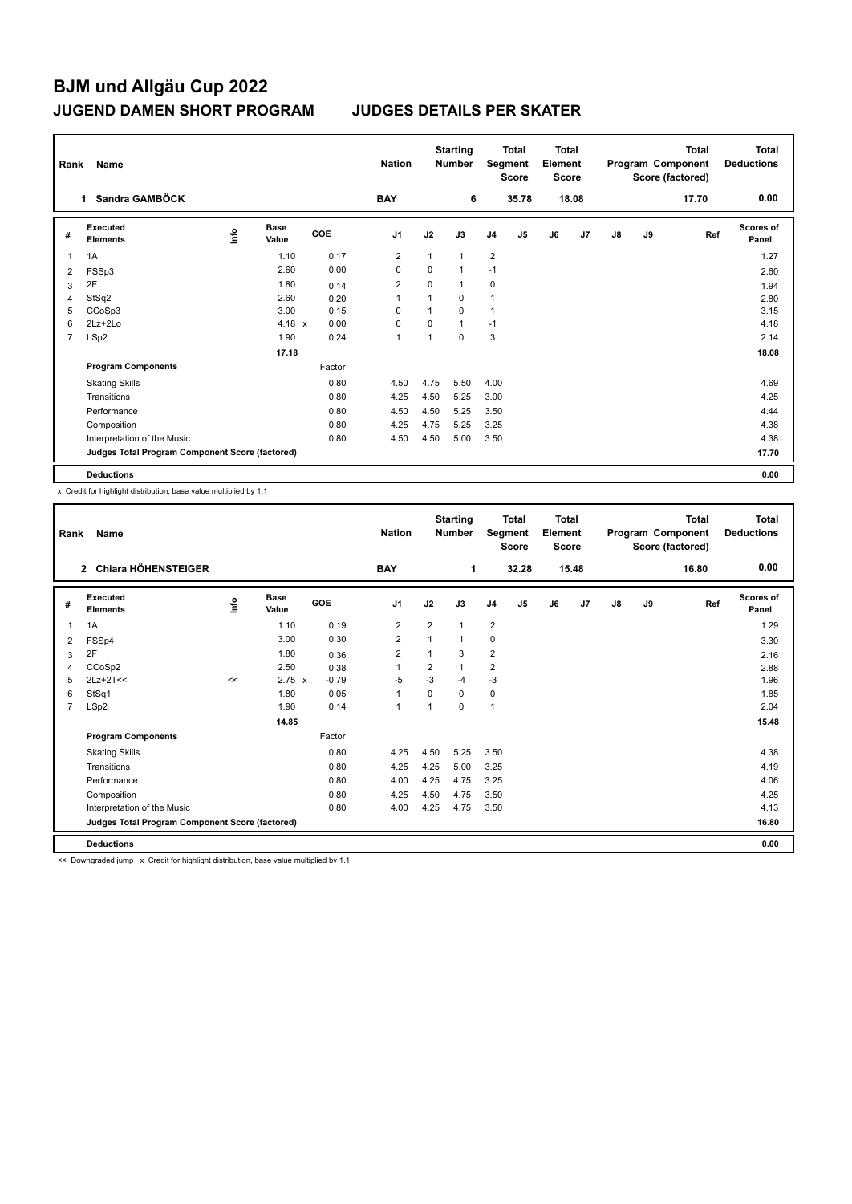| Rank           | Name                                            | <b>Nation</b> |                      | <b>Starting</b><br><b>Number</b> |                | <b>Total</b><br>Segment<br><b>Score</b> | <b>Total</b><br>Element<br><b>Score</b> |                |                |    | <b>Total</b><br>Program Component<br>Score (factored) | Total<br><b>Deductions</b> |    |       |                           |
|----------------|-------------------------------------------------|---------------|----------------------|----------------------------------|----------------|-----------------------------------------|-----------------------------------------|----------------|----------------|----|-------------------------------------------------------|----------------------------|----|-------|---------------------------|
|                | Sandra GAMBÖCK<br>$\mathbf{1}$                  |               |                      |                                  | <b>BAY</b>     |                                         | 6                                       |                | 35.78          |    | 18.08                                                 |                            |    | 17.70 | 0.00                      |
| #              | Executed<br><b>Elements</b>                     | ١nfo          | <b>Base</b><br>Value | <b>GOE</b>                       | J <sub>1</sub> | J2                                      | J3                                      | J <sub>4</sub> | J <sub>5</sub> | J6 | J7                                                    | $\mathsf{J}8$              | J9 | Ref   | <b>Scores of</b><br>Panel |
|                | 1A                                              |               | 1.10                 | 0.17                             | $\overline{2}$ | 1                                       | $\mathbf{1}$                            | $\overline{2}$ |                |    |                                                       |                            |    |       | 1.27                      |
| 2              | FSSp3                                           |               | 2.60                 | 0.00                             | 0              | $\Omega$                                | $\mathbf{1}$                            | $-1$           |                |    |                                                       |                            |    |       | 2.60                      |
| 3              | 2F                                              |               | 1.80                 | 0.14                             | 2              | 0                                       | $\mathbf{1}$                            | 0              |                |    |                                                       |                            |    |       | 1.94                      |
| 4              | StSq2                                           |               | 2.60                 | 0.20                             | 1              | 1                                       | 0                                       |                |                |    |                                                       |                            |    |       | 2.80                      |
| 5              | CCoSp3                                          |               | 3.00                 | 0.15                             | 0              | 1                                       | $\Omega$                                | 1              |                |    |                                                       |                            |    |       | 3.15                      |
| 6              | $2Lz + 2Lo$                                     |               | 4.18 $x$             | 0.00                             | 0              | 0                                       | $\mathbf{1}$                            | $-1$           |                |    |                                                       |                            |    |       | 4.18                      |
| $\overline{7}$ | LSp2                                            |               | 1.90                 | 0.24                             | 1              | 1                                       | $\mathbf 0$                             | 3              |                |    |                                                       |                            |    |       | 2.14                      |
|                |                                                 |               | 17.18                |                                  |                |                                         |                                         |                |                |    |                                                       |                            |    |       | 18.08                     |
|                | <b>Program Components</b>                       |               |                      | Factor                           |                |                                         |                                         |                |                |    |                                                       |                            |    |       |                           |
|                | <b>Skating Skills</b>                           |               |                      | 0.80                             | 4.50           | 4.75                                    | 5.50                                    | 4.00           |                |    |                                                       |                            |    |       | 4.69                      |
|                | Transitions                                     |               |                      | 0.80                             | 4.25           | 4.50                                    | 5.25                                    | 3.00           |                |    |                                                       |                            |    |       | 4.25                      |
|                | Performance                                     |               |                      | 0.80                             | 4.50           | 4.50                                    | 5.25                                    | 3.50           |                |    |                                                       |                            |    |       | 4.44                      |
|                | Composition                                     |               |                      | 0.80                             | 4.25           | 4.75                                    | 5.25                                    | 3.25           |                |    |                                                       |                            |    |       | 4.38                      |
|                | Interpretation of the Music                     |               |                      | 0.80                             | 4.50           | 4.50                                    | 5.00                                    | 3.50           |                |    |                                                       |                            |    |       | 4.38                      |
|                | Judges Total Program Component Score (factored) |               |                      |                                  |                |                                         |                                         |                |                |    |                                                       |                            |    |       | 17.70                     |
|                | <b>Deductions</b>                               |               |                      |                                  |                |                                         |                                         |                |                |    |                                                       |                            |    |       | 0.00                      |

x Credit for highlight distribution, base value multiplied by 1.1

| Rank           | Name                                            |      |                      |         | <b>Nation</b>  |                | <b>Starting</b><br><b>Number</b> |                | <b>Total</b><br>Segment<br><b>Score</b> | Total<br>Element<br><b>Score</b> |       |               |    | <b>Total</b><br>Program Component<br>Score (factored) | <b>Total</b><br><b>Deductions</b> |
|----------------|-------------------------------------------------|------|----------------------|---------|----------------|----------------|----------------------------------|----------------|-----------------------------------------|----------------------------------|-------|---------------|----|-------------------------------------------------------|-----------------------------------|
|                | <b>Chiara HÖHENSTEIGER</b><br>$\overline{2}$    |      |                      |         | <b>BAY</b>     |                | 1                                |                | 32.28                                   |                                  | 15.48 |               |    | 16.80                                                 | 0.00                              |
| #              | Executed<br><b>Elements</b>                     | ١nf٥ | <b>Base</b><br>Value | GOE     | J <sub>1</sub> | J2             | J3                               | J <sub>4</sub> | J <sub>5</sub>                          | J6                               | J7    | $\mathsf{J}8$ | J9 | Ref                                                   | Scores of<br>Panel                |
| 1              | 1A                                              |      | 1.10                 | 0.19    | 2              | $\overline{2}$ | $\overline{1}$                   | $\overline{2}$ |                                         |                                  |       |               |    |                                                       | 1.29                              |
| 2              | FSSp4                                           |      | 3.00                 | 0.30    | $\overline{2}$ | 1              | 1                                | $\mathbf 0$    |                                         |                                  |       |               |    |                                                       | 3.30                              |
| 3              | 2F                                              |      | 1.80                 | 0.36    | 2              | 1              | 3                                | $\overline{2}$ |                                         |                                  |       |               |    |                                                       | 2.16                              |
| 4              | CCoSp2                                          |      | 2.50                 | 0.38    | 1              | $\overline{2}$ | $\overline{1}$                   | $\overline{2}$ |                                         |                                  |       |               |    |                                                       | 2.88                              |
| 5              | $2Lz+2T<<$                                      | <<   | $2.75 \times$        | $-0.79$ | $-5$           | $-3$           | $-4$                             | $-3$           |                                         |                                  |       |               |    |                                                       | 1.96                              |
| 6              | StSq1                                           |      | 1.80                 | 0.05    | $\mathbf{1}$   | $\Omega$       | 0                                | 0              |                                         |                                  |       |               |    |                                                       | 1.85                              |
| $\overline{7}$ | LSp2                                            |      | 1.90                 | 0.14    | $\mathbf{1}$   | 1              | 0                                | $\mathbf{1}$   |                                         |                                  |       |               |    |                                                       | 2.04                              |
|                |                                                 |      | 14.85                |         |                |                |                                  |                |                                         |                                  |       |               |    |                                                       | 15.48                             |
|                | <b>Program Components</b>                       |      |                      | Factor  |                |                |                                  |                |                                         |                                  |       |               |    |                                                       |                                   |
|                | <b>Skating Skills</b>                           |      |                      | 0.80    | 4.25           | 4.50           | 5.25                             | 3.50           |                                         |                                  |       |               |    |                                                       | 4.38                              |
|                | Transitions                                     |      |                      | 0.80    | 4.25           | 4.25           | 5.00                             | 3.25           |                                         |                                  |       |               |    |                                                       | 4.19                              |
|                | Performance                                     |      |                      | 0.80    | 4.00           | 4.25           | 4.75                             | 3.25           |                                         |                                  |       |               |    |                                                       | 4.06                              |
|                | Composition                                     |      |                      | 0.80    | 4.25           | 4.50           | 4.75                             | 3.50           |                                         |                                  |       |               |    |                                                       | 4.25                              |
|                | Interpretation of the Music                     |      |                      | 0.80    | 4.00           | 4.25           | 4.75                             | 3.50           |                                         |                                  |       |               |    |                                                       | 4.13                              |
|                | Judges Total Program Component Score (factored) |      |                      |         |                |                |                                  |                |                                         |                                  |       |               |    |                                                       | 16.80                             |
|                | <b>Deductions</b>                               |      |                      |         |                |                |                                  |                |                                         |                                  |       |               |    |                                                       | 0.00                              |

<< Downgraded jump x Credit for highlight distribution, base value multiplied by 1.1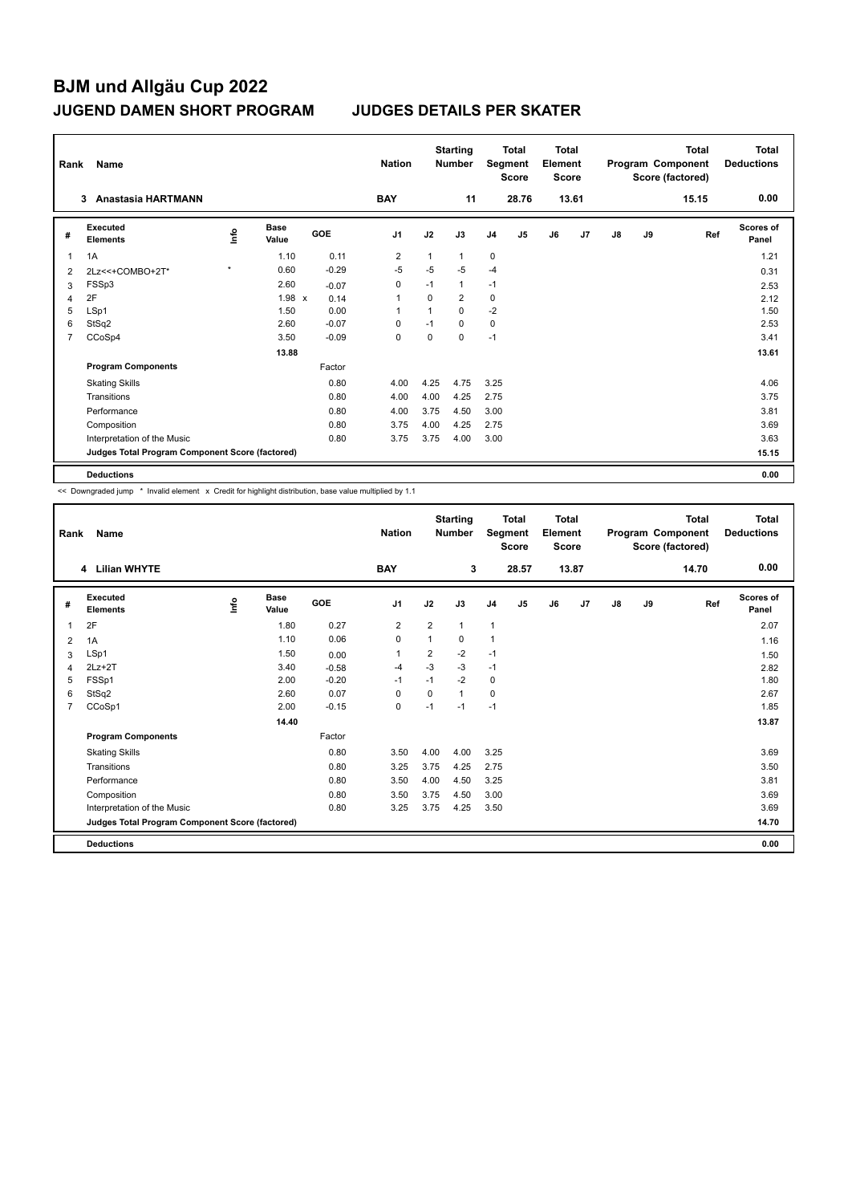| Rank | Name                                            |         |                      |            | <b>Nation</b>  |              | <b>Starting</b><br><b>Number</b> |                | <b>Total</b><br>Segment<br><b>Score</b> | Total<br>Element<br><b>Score</b> |       |               |    | Total<br>Program Component<br>Score (factored) | <b>Total</b><br><b>Deductions</b> |
|------|-------------------------------------------------|---------|----------------------|------------|----------------|--------------|----------------------------------|----------------|-----------------------------------------|----------------------------------|-------|---------------|----|------------------------------------------------|-----------------------------------|
|      | <b>Anastasia HARTMANN</b><br>3                  |         |                      |            | <b>BAY</b>     |              | 11                               |                | 28.76                                   |                                  | 13.61 |               |    | 15.15                                          | 0.00                              |
| #    | Executed<br><b>Elements</b>                     | ١nfo    | <b>Base</b><br>Value | <b>GOE</b> | J <sub>1</sub> | J2           | J3                               | J <sub>4</sub> | J5                                      | J6                               | J7    | $\mathsf{J}8$ | J9 | Ref                                            | Scores of<br>Panel                |
| 1    | 1A                                              |         | 1.10                 | 0.11       | $\overline{2}$ | 1            | 1                                | 0              |                                         |                                  |       |               |    |                                                | 1.21                              |
| 2    | 2Lz << + COMBO+2T*                              | $\star$ | 0.60                 | $-0.29$    | $-5$           | -5           | -5                               | $-4$           |                                         |                                  |       |               |    |                                                | 0.31                              |
| 3    | FSSp3                                           |         | 2.60                 | $-0.07$    | 0              | $-1$         | 1                                | $-1$           |                                         |                                  |       |               |    |                                                | 2.53                              |
| 4    | 2F                                              |         | 1.98 x               | 0.14       | 1              | 0            | $\overline{2}$                   | 0              |                                         |                                  |       |               |    |                                                | 2.12                              |
| 5    | LSp1                                            |         | 1.50                 | 0.00       | -1             | $\mathbf{1}$ | $\Omega$                         | $-2$           |                                         |                                  |       |               |    |                                                | 1.50                              |
| 6    | StSq2                                           |         | 2.60                 | $-0.07$    | $\Omega$       | $-1$         | $\Omega$                         | $\mathbf 0$    |                                         |                                  |       |               |    |                                                | 2.53                              |
| 7    | CCoSp4                                          |         | 3.50                 | $-0.09$    | $\mathbf 0$    | 0            | $\mathbf 0$                      | $-1$           |                                         |                                  |       |               |    |                                                | 3.41                              |
|      |                                                 |         | 13.88                |            |                |              |                                  |                |                                         |                                  |       |               |    |                                                | 13.61                             |
|      | <b>Program Components</b>                       |         |                      | Factor     |                |              |                                  |                |                                         |                                  |       |               |    |                                                |                                   |
|      | <b>Skating Skills</b>                           |         |                      | 0.80       | 4.00           | 4.25         | 4.75                             | 3.25           |                                         |                                  |       |               |    |                                                | 4.06                              |
|      | Transitions                                     |         |                      | 0.80       | 4.00           | 4.00         | 4.25                             | 2.75           |                                         |                                  |       |               |    |                                                | 3.75                              |
|      | Performance                                     |         |                      | 0.80       | 4.00           | 3.75         | 4.50                             | 3.00           |                                         |                                  |       |               |    |                                                | 3.81                              |
|      | Composition                                     |         |                      | 0.80       | 3.75           | 4.00         | 4.25                             | 2.75           |                                         |                                  |       |               |    |                                                | 3.69                              |
|      | Interpretation of the Music                     |         |                      | 0.80       | 3.75           | 3.75         | 4.00                             | 3.00           |                                         |                                  |       |               |    |                                                | 3.63                              |
|      | Judges Total Program Component Score (factored) |         |                      |            |                |              |                                  |                |                                         |                                  |       |               |    |                                                | 15.15                             |
|      | <b>Deductions</b>                               |         |                      |            |                |              |                                  |                |                                         |                                  |       |               |    |                                                | 0.00                              |

<< Downgraded jump \* Invalid element x Credit for highlight distribution, base value multiplied by 1.1

| Rank           | Name                                            |      |                      |            | <b>Nation</b>  |                | <b>Starting</b><br><b>Number</b> |                | <b>Total</b><br>Segment<br><b>Score</b> | <b>Total</b><br>Element<br>Score |                |    |    | <b>Total</b><br>Program Component<br>Score (factored) | <b>Total</b><br><b>Deductions</b> |
|----------------|-------------------------------------------------|------|----------------------|------------|----------------|----------------|----------------------------------|----------------|-----------------------------------------|----------------------------------|----------------|----|----|-------------------------------------------------------|-----------------------------------|
|                | 4 Lilian WHYTE                                  |      |                      |            | <b>BAY</b>     |                | 3                                |                | 28.57                                   |                                  | 13.87          |    |    | 14.70                                                 | 0.00                              |
| #              | Executed<br><b>Elements</b>                     | lnfo | <b>Base</b><br>Value | <b>GOE</b> | J <sub>1</sub> | J2             | J3                               | J <sub>4</sub> | J <sub>5</sub>                          | J6                               | J <sub>7</sub> | J8 | J9 | Ref                                                   | Scores of<br>Panel                |
|                | 2F                                              |      | 1.80                 | 0.27       | 2              | $\overline{2}$ | $\mathbf{1}$                     | $\mathbf{1}$   |                                         |                                  |                |    |    |                                                       | 2.07                              |
| 2              | 1A                                              |      | 1.10                 | 0.06       | 0              | 1              | 0                                | $\overline{1}$ |                                         |                                  |                |    |    |                                                       | 1.16                              |
| 3              | LSp1                                            |      | 1.50                 | 0.00       | $\mathbf{1}$   | $\overline{2}$ | $-2$                             | $-1$           |                                         |                                  |                |    |    |                                                       | 1.50                              |
| 4              | $2Lz+2T$                                        |      | 3.40                 | $-0.58$    | $-4$           | $-3$           | $-3$                             | $-1$           |                                         |                                  |                |    |    |                                                       | 2.82                              |
| 5              | FSSp1                                           |      | 2.00                 | $-0.20$    | $-1$           | $-1$           | $-2$                             | 0              |                                         |                                  |                |    |    |                                                       | 1.80                              |
| 6              | StSq2                                           |      | 2.60                 | 0.07       | 0              | $\Omega$       | $\mathbf{1}$                     | $\mathbf 0$    |                                         |                                  |                |    |    |                                                       | 2.67                              |
| $\overline{7}$ | CCoSp1                                          |      | 2.00                 | $-0.15$    | $\mathbf 0$    | $-1$           | $-1$                             | $-1$           |                                         |                                  |                |    |    |                                                       | 1.85                              |
|                |                                                 |      | 14.40                |            |                |                |                                  |                |                                         |                                  |                |    |    |                                                       | 13.87                             |
|                | <b>Program Components</b>                       |      |                      | Factor     |                |                |                                  |                |                                         |                                  |                |    |    |                                                       |                                   |
|                | <b>Skating Skills</b>                           |      |                      | 0.80       | 3.50           | 4.00           | 4.00                             | 3.25           |                                         |                                  |                |    |    |                                                       | 3.69                              |
|                | Transitions                                     |      |                      | 0.80       | 3.25           | 3.75           | 4.25                             | 2.75           |                                         |                                  |                |    |    |                                                       | 3.50                              |
|                | Performance                                     |      |                      | 0.80       | 3.50           | 4.00           | 4.50                             | 3.25           |                                         |                                  |                |    |    |                                                       | 3.81                              |
|                | Composition                                     |      |                      | 0.80       | 3.50           | 3.75           | 4.50                             | 3.00           |                                         |                                  |                |    |    |                                                       | 3.69                              |
|                | Interpretation of the Music                     |      |                      | 0.80       | 3.25           | 3.75           | 4.25                             | 3.50           |                                         |                                  |                |    |    |                                                       | 3.69                              |
|                | Judges Total Program Component Score (factored) |      |                      |            |                |                |                                  |                |                                         |                                  |                |    |    |                                                       | 14.70                             |
|                | <b>Deductions</b>                               |      |                      |            |                |                |                                  |                |                                         |                                  |                |    |    |                                                       | 0.00                              |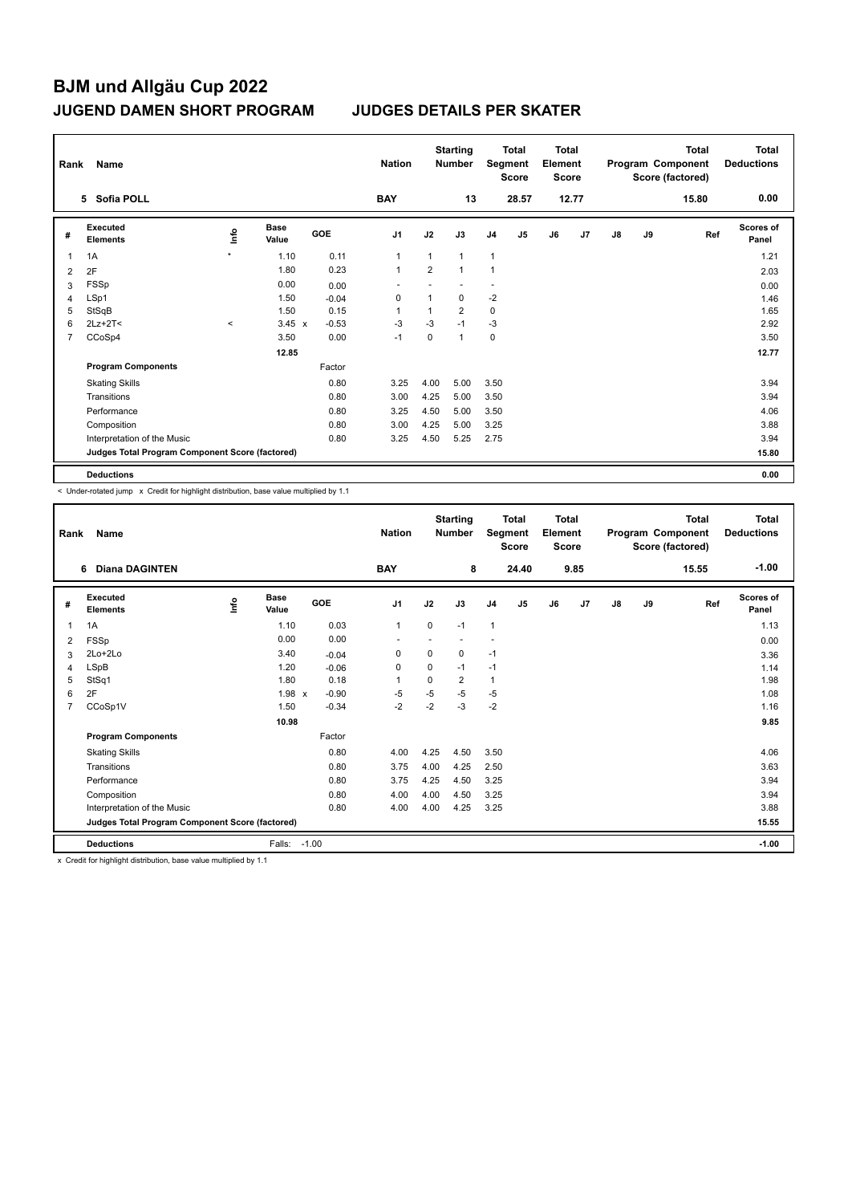|                | Rank<br>Name<br>Sofia POLL<br>5                 |         |               |         |                |                | <b>Starting</b><br><b>Number</b> |                | <b>Total</b><br>Segment<br>Score | <b>Total</b><br>Element<br><b>Score</b> |                |    |    | <b>Total</b><br>Program Component<br>Score (factored) | Total<br><b>Deductions</b> |
|----------------|-------------------------------------------------|---------|---------------|---------|----------------|----------------|----------------------------------|----------------|----------------------------------|-----------------------------------------|----------------|----|----|-------------------------------------------------------|----------------------------|
|                |                                                 |         |               |         | <b>BAY</b>     |                | 13                               |                | 28.57                            |                                         | 12.77          |    |    | 15.80                                                 | 0.00                       |
| #              | Executed<br><b>Elements</b>                     | ١nfo    | Base<br>Value | GOE     | J <sub>1</sub> | J2             | J3                               | J <sub>4</sub> | J <sub>5</sub>                   | J6                                      | J <sub>7</sub> | J8 | J9 | Ref                                                   | Scores of<br>Panel         |
|                | 1A                                              | $\star$ | 1.10          | 0.11    | 1              | $\mathbf{1}$   | $\mathbf{1}$                     | $\mathbf{1}$   |                                  |                                         |                |    |    |                                                       | 1.21                       |
| $\overline{2}$ | 2F                                              |         | 1.80          | 0.23    |                | $\overline{2}$ | $\mathbf{1}$                     | $\mathbf{1}$   |                                  |                                         |                |    |    |                                                       | 2.03                       |
| 3              | FSSp                                            |         | 0.00          | 0.00    |                |                |                                  |                |                                  |                                         |                |    |    |                                                       | 0.00                       |
| $\overline{4}$ | LSp1                                            |         | 1.50          | $-0.04$ | 0              | $\mathbf{1}$   | $\mathbf 0$                      | $-2$           |                                  |                                         |                |    |    |                                                       | 1.46                       |
| 5              | StSqB                                           |         | 1.50          | 0.15    |                | $\overline{1}$ | $\overline{2}$                   | $\mathbf 0$    |                                  |                                         |                |    |    |                                                       | 1.65                       |
| 6              | $2Lz+2T<$                                       | $\prec$ | $3.45 \times$ | $-0.53$ | $-3$           | $-3$           | $-1$                             | $-3$           |                                  |                                         |                |    |    |                                                       | 2.92                       |
| 7              | CCoSp4                                          |         | 3.50          | 0.00    | $-1$           | $\mathbf 0$    | $\mathbf{1}$                     | $\mathbf 0$    |                                  |                                         |                |    |    |                                                       | 3.50                       |
|                |                                                 |         | 12.85         |         |                |                |                                  |                |                                  |                                         |                |    |    |                                                       | 12.77                      |
|                | <b>Program Components</b>                       |         |               | Factor  |                |                |                                  |                |                                  |                                         |                |    |    |                                                       |                            |
|                | <b>Skating Skills</b>                           |         |               | 0.80    | 3.25           | 4.00           | 5.00                             | 3.50           |                                  |                                         |                |    |    |                                                       | 3.94                       |
|                | Transitions                                     |         |               | 0.80    | 3.00           | 4.25           | 5.00                             | 3.50           |                                  |                                         |                |    |    |                                                       | 3.94                       |
|                | Performance                                     |         |               | 0.80    | 3.25           | 4.50           | 5.00                             | 3.50           |                                  |                                         |                |    |    |                                                       | 4.06                       |
|                | Composition                                     |         |               | 0.80    | 3.00           | 4.25           | 5.00                             | 3.25           |                                  |                                         |                |    |    |                                                       | 3.88                       |
|                | Interpretation of the Music                     |         |               | 0.80    | 3.25           | 4.50           | 5.25                             | 2.75           |                                  |                                         |                |    |    |                                                       | 3.94                       |
|                | Judges Total Program Component Score (factored) |         |               |         |                |                |                                  |                |                                  |                                         |                |    |    |                                                       | 15.80                      |
|                | <b>Deductions</b>                               |         |               |         |                |                |                                  |                |                                  |                                         |                |    |    |                                                       | 0.00                       |

< Under-rotated jump x Credit for highlight distribution, base value multiplied by 1.1

| Rank           | Name                                            |       |                      |         | <b>Nation</b>  |             | <b>Starting</b><br><b>Number</b> |                          | <b>Total</b><br>Segment<br><b>Score</b> | Total<br>Element<br><b>Score</b> |      |               |    | Total<br>Program Component<br>Score (factored) | <b>Total</b><br><b>Deductions</b> |
|----------------|-------------------------------------------------|-------|----------------------|---------|----------------|-------------|----------------------------------|--------------------------|-----------------------------------------|----------------------------------|------|---------------|----|------------------------------------------------|-----------------------------------|
|                | <b>Diana DAGINTEN</b><br>6                      |       |                      |         | <b>BAY</b>     |             | 8                                |                          | 24.40                                   |                                  | 9.85 |               |    | 15.55                                          | $-1.00$                           |
| #              | Executed<br><b>Elements</b>                     | Linfo | <b>Base</b><br>Value | GOE     | J <sub>1</sub> | J2          | J3                               | J <sub>4</sub>           | J5                                      | J6                               | J7   | $\mathsf{J}8$ | J9 | Ref                                            | Scores of<br>Panel                |
| 1              | 1A                                              |       | 1.10                 | 0.03    | $\mathbf{1}$   | $\mathbf 0$ | $-1$                             | $\mathbf{1}$             |                                         |                                  |      |               |    |                                                | 1.13                              |
| 2              | <b>FSSp</b>                                     |       | 0.00                 | 0.00    | $\overline{a}$ |             |                                  | $\overline{\phantom{a}}$ |                                         |                                  |      |               |    |                                                | 0.00                              |
| 3              | $2Lo+2Lo$                                       |       | 3.40                 | $-0.04$ | 0              | $\mathbf 0$ | 0                                | $-1$                     |                                         |                                  |      |               |    |                                                | 3.36                              |
| 4              | <b>LSpB</b>                                     |       | 1.20                 | $-0.06$ | $\Omega$       | $\Omega$    | $-1$                             | $-1$                     |                                         |                                  |      |               |    |                                                | 1.14                              |
| 5              | StSq1                                           |       | 1.80                 | 0.18    | 1              | 0           | $\overline{2}$                   | 1                        |                                         |                                  |      |               |    |                                                | 1.98                              |
| 6              | 2F                                              |       | 1.98 x               | $-0.90$ | $-5$           | $-5$        | $-5$                             | -5                       |                                         |                                  |      |               |    |                                                | 1.08                              |
| $\overline{7}$ | CCoSp1V                                         |       | 1.50                 | $-0.34$ | $-2$           | $-2$        | $-3$                             | $-2$                     |                                         |                                  |      |               |    |                                                | 1.16                              |
|                |                                                 |       | 10.98                |         |                |             |                                  |                          |                                         |                                  |      |               |    |                                                | 9.85                              |
|                | <b>Program Components</b>                       |       |                      | Factor  |                |             |                                  |                          |                                         |                                  |      |               |    |                                                |                                   |
|                | <b>Skating Skills</b>                           |       |                      | 0.80    | 4.00           | 4.25        | 4.50                             | 3.50                     |                                         |                                  |      |               |    |                                                | 4.06                              |
|                | Transitions                                     |       |                      | 0.80    | 3.75           | 4.00        | 4.25                             | 2.50                     |                                         |                                  |      |               |    |                                                | 3.63                              |
|                | Performance                                     |       |                      | 0.80    | 3.75           | 4.25        | 4.50                             | 3.25                     |                                         |                                  |      |               |    |                                                | 3.94                              |
|                | Composition                                     |       |                      | 0.80    | 4.00           | 4.00        | 4.50                             | 3.25                     |                                         |                                  |      |               |    |                                                | 3.94                              |
|                | Interpretation of the Music                     |       |                      | 0.80    | 4.00           | 4.00        | 4.25                             | 3.25                     |                                         |                                  |      |               |    |                                                | 3.88                              |
|                | Judges Total Program Component Score (factored) |       |                      |         |                |             |                                  |                          |                                         |                                  |      |               |    |                                                | 15.55                             |
|                | <b>Deductions</b>                               |       | Falls:               | $-1.00$ |                |             |                                  |                          |                                         |                                  |      |               |    |                                                | $-1.00$                           |

x Credit for highlight distribution, base value multiplied by 1.1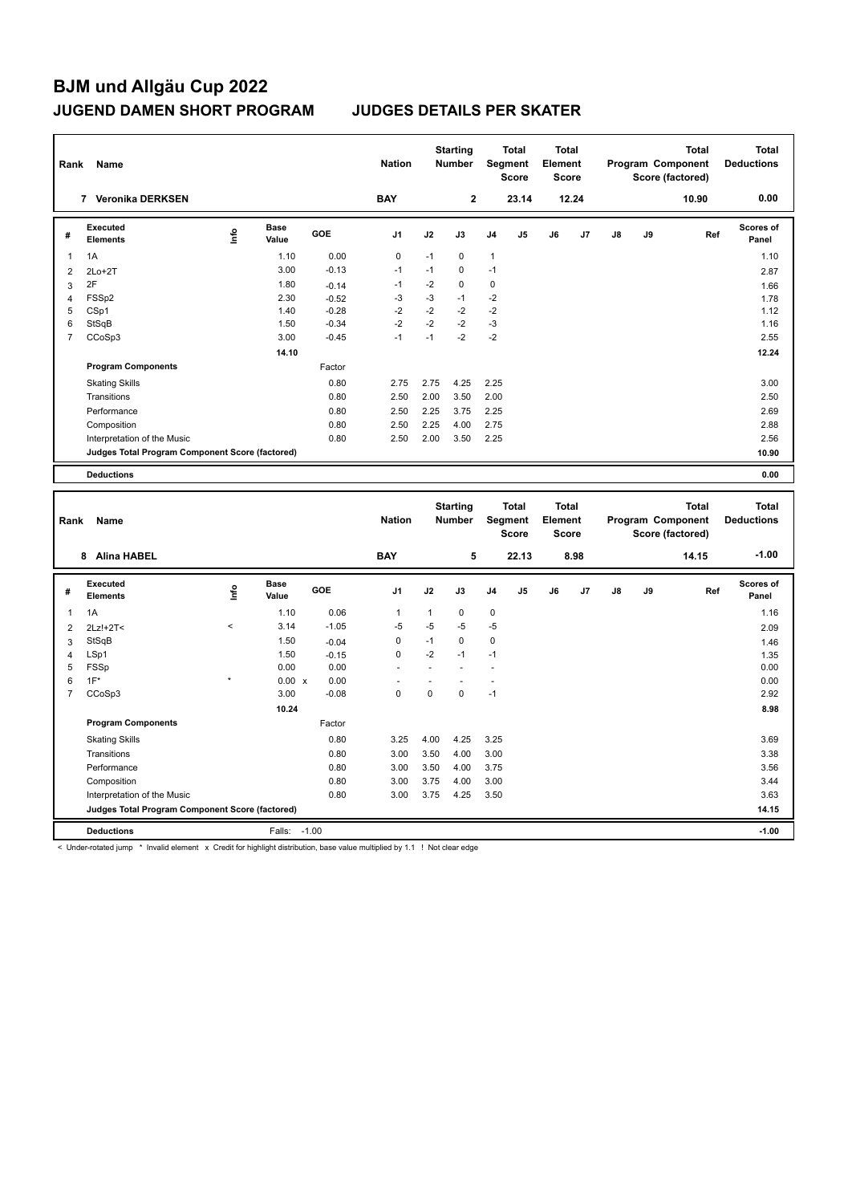| Rank           | Name                                            |    |                      |            | <b>Nation</b>  |      | <b>Starting</b><br><b>Number</b> |                | <b>Total</b><br>Segment<br><b>Score</b> | <b>Total</b><br>Element<br>Score |       |               |    | <b>Total</b><br>Program Component<br>Score (factored) | Total<br><b>Deductions</b> |
|----------------|-------------------------------------------------|----|----------------------|------------|----------------|------|----------------------------------|----------------|-----------------------------------------|----------------------------------|-------|---------------|----|-------------------------------------------------------|----------------------------|
|                | <b>Veronika DERKSEN</b><br>7                    |    |                      |            | <b>BAY</b>     |      | $\mathbf{2}$                     |                | 23.14                                   |                                  | 12.24 |               |    | 10.90                                                 | 0.00                       |
| #              | Executed<br><b>Elements</b>                     | ۴ů | <b>Base</b><br>Value | <b>GOE</b> | J <sub>1</sub> | J2   | J3                               | J <sub>4</sub> | J <sub>5</sub>                          | J6                               | J7    | $\mathsf{J}8$ | J9 | Ref                                                   | <b>Scores of</b><br>Panel  |
| 1              | 1A                                              |    | 1.10                 | 0.00       | 0              | $-1$ | $\mathbf 0$                      | $\mathbf{1}$   |                                         |                                  |       |               |    |                                                       | 1.10                       |
| $\overline{2}$ | $2Lo+2T$                                        |    | 3.00                 | $-0.13$    | $-1$           | $-1$ | $\mathbf 0$                      | $-1$           |                                         |                                  |       |               |    |                                                       | 2.87                       |
| 3              | 2F                                              |    | 1.80                 | $-0.14$    | $-1$           | $-2$ | $\mathbf 0$                      | 0              |                                         |                                  |       |               |    |                                                       | 1.66                       |
| 4              | FSSp2                                           |    | 2.30                 | $-0.52$    | $-3$           | $-3$ | $-1$                             | $-2$           |                                         |                                  |       |               |    |                                                       | 1.78                       |
| 5              | CSp1                                            |    | 1.40                 | $-0.28$    | $-2$           | $-2$ | $-2$                             | $-2$           |                                         |                                  |       |               |    |                                                       | 1.12                       |
| 6              | StSqB                                           |    | 1.50                 | $-0.34$    | $-2$           | $-2$ | $-2$                             | $-3$           |                                         |                                  |       |               |    |                                                       | 1.16                       |
| $\overline{7}$ | CCoSp3                                          |    | 3.00                 | $-0.45$    | $-1$           | $-1$ | $-2$                             | $-2$           |                                         |                                  |       |               |    |                                                       | 2.55                       |
|                |                                                 |    | 14.10                |            |                |      |                                  |                |                                         |                                  |       |               |    |                                                       | 12.24                      |
|                | <b>Program Components</b>                       |    |                      | Factor     |                |      |                                  |                |                                         |                                  |       |               |    |                                                       |                            |
|                | <b>Skating Skills</b>                           |    |                      | 0.80       | 2.75           | 2.75 | 4.25                             | 2.25           |                                         |                                  |       |               |    |                                                       | 3.00                       |
|                | Transitions                                     |    |                      | 0.80       | 2.50           | 2.00 | 3.50                             | 2.00           |                                         |                                  |       |               |    |                                                       | 2.50                       |
|                | Performance                                     |    |                      | 0.80       | 2.50           | 2.25 | 3.75                             | 2.25           |                                         |                                  |       |               |    |                                                       | 2.69                       |
|                | Composition                                     |    |                      | 0.80       | 2.50           | 2.25 | 4.00                             | 2.75           |                                         |                                  |       |               |    |                                                       | 2.88                       |
|                | Interpretation of the Music                     |    |                      | 0.80       | 2.50           | 2.00 | 3.50                             | 2.25           |                                         |                                  |       |               |    |                                                       | 2.56                       |
|                | Judges Total Program Component Score (factored) |    |                      |            |                |      |                                  |                |                                         |                                  |       |               |    |                                                       | 10.90                      |
|                | <b>Deductions</b>                               |    |                      |            |                |      |                                  |                |                                         |                                  |       |               |    |                                                       | 0.00                       |

| Rank           | Name                                            |         |                      |            | <b>Nation</b>  |              | <b>Starting</b><br><b>Number</b> | Segment        | <b>Total</b><br><b>Score</b> | <b>Total</b><br>Element<br><b>Score</b> |      |               |    | <b>Total</b><br>Program Component<br>Score (factored) | <b>Total</b><br><b>Deductions</b> |
|----------------|-------------------------------------------------|---------|----------------------|------------|----------------|--------------|----------------------------------|----------------|------------------------------|-----------------------------------------|------|---------------|----|-------------------------------------------------------|-----------------------------------|
|                | <b>Alina HABEL</b><br>8                         |         |                      |            | <b>BAY</b>     |              | 5                                |                | 22.13                        |                                         | 8.98 |               |    | 14.15                                                 | $-1.00$                           |
| #              | Executed<br><b>Elements</b>                     | lnfo    | <b>Base</b><br>Value | <b>GOE</b> | J <sub>1</sub> | J2           | J3                               | J <sub>4</sub> | J <sub>5</sub>               | J6                                      | J7   | $\mathsf{J}8$ | J9 | Ref                                                   | <b>Scores of</b><br>Panel         |
| $\overline{1}$ | 1A                                              |         | 1.10                 | 0.06       | $\overline{1}$ | $\mathbf{1}$ | $\Omega$                         | $\mathbf 0$    |                              |                                         |      |               |    |                                                       | 1.16                              |
| $\overline{2}$ | 2Lz!+2T<                                        | $\,<\,$ | 3.14                 | $-1.05$    | $-5$           | $-5$         | $-5$                             | $-5$           |                              |                                         |      |               |    |                                                       | 2.09                              |
| 3              | StSqB                                           |         | 1.50                 | $-0.04$    | 0              | $-1$         | $\mathbf 0$                      | 0              |                              |                                         |      |               |    |                                                       | 1.46                              |
| $\overline{4}$ | LSp1                                            |         | 1.50                 | $-0.15$    | $\mathbf 0$    | $-2$         | $-1$                             | $-1$           |                              |                                         |      |               |    |                                                       | 1.35                              |
| 5              | FSSp                                            |         | 0.00                 | 0.00       | ٠              |              |                                  |                |                              |                                         |      |               |    |                                                       | 0.00                              |
| 6              | $1F^*$                                          | $\star$ | $0.00 \times$        | 0.00       |                |              |                                  |                |                              |                                         |      |               |    |                                                       | 0.00                              |
| 7              | CCoSp3                                          |         | 3.00                 | $-0.08$    | $\Omega$       | $\Omega$     | $\Omega$                         | $-1$           |                              |                                         |      |               |    |                                                       | 2.92                              |
|                |                                                 |         | 10.24                |            |                |              |                                  |                |                              |                                         |      |               |    |                                                       | 8.98                              |
|                | <b>Program Components</b>                       |         |                      | Factor     |                |              |                                  |                |                              |                                         |      |               |    |                                                       |                                   |
|                | <b>Skating Skills</b>                           |         |                      | 0.80       | 3.25           | 4.00         | 4.25                             | 3.25           |                              |                                         |      |               |    |                                                       | 3.69                              |
|                | Transitions                                     |         |                      | 0.80       | 3.00           | 3.50         | 4.00                             | 3.00           |                              |                                         |      |               |    |                                                       | 3.38                              |
|                | Performance                                     |         |                      | 0.80       | 3.00           | 3.50         | 4.00                             | 3.75           |                              |                                         |      |               |    |                                                       | 3.56                              |
|                | Composition                                     |         |                      | 0.80       | 3.00           | 3.75         | 4.00                             | 3.00           |                              |                                         |      |               |    |                                                       | 3.44                              |
|                | Interpretation of the Music                     |         |                      | 0.80       | 3.00           | 3.75         | 4.25                             | 3.50           |                              |                                         |      |               |    |                                                       | 3.63                              |
|                | Judges Total Program Component Score (factored) |         |                      |            |                |              |                                  |                |                              |                                         |      |               |    |                                                       | 14.15                             |
|                | <b>Deductions</b>                               |         | Falls:               | $-1.00$    |                |              |                                  |                |                              |                                         |      |               |    |                                                       | $-1.00$                           |

< Under-rotated jump \* Invalid element x Credit for highlight distribution, base value multiplied by 1.1 ! Not clear edge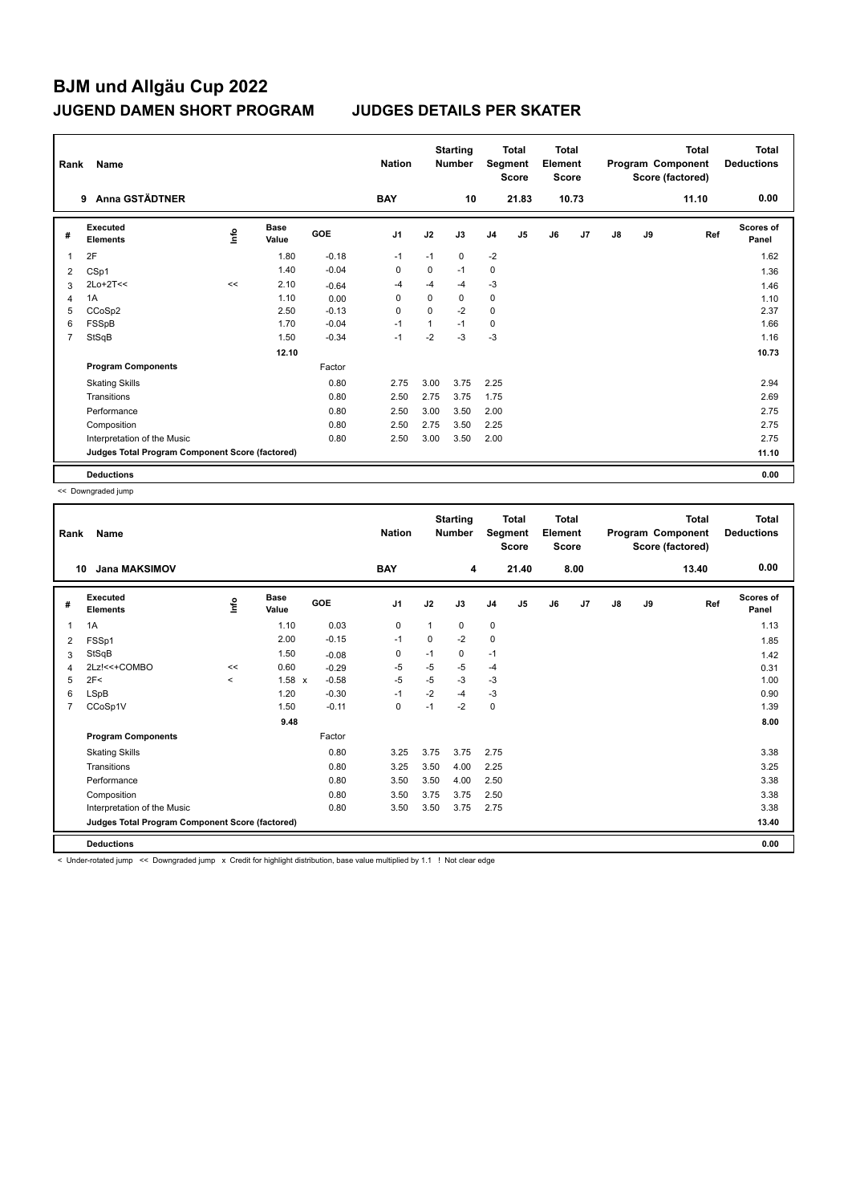|                | Rank<br>Name<br><b>Anna GSTÄDTNER</b><br>9      |      |                      |            |                |      | <b>Starting</b><br><b>Number</b> |                | <b>Total</b><br>Segment<br><b>Score</b> | <b>Total</b><br>Element<br><b>Score</b> |       |               |    | <b>Total</b><br>Program Component<br>Score (factored) | Total<br><b>Deductions</b> |
|----------------|-------------------------------------------------|------|----------------------|------------|----------------|------|----------------------------------|----------------|-----------------------------------------|-----------------------------------------|-------|---------------|----|-------------------------------------------------------|----------------------------|
|                |                                                 |      |                      |            | <b>BAY</b>     |      | 10                               |                | 21.83                                   |                                         | 10.73 |               |    | 11.10                                                 | 0.00                       |
| #              | Executed<br><b>Elements</b>                     | ١nfo | <b>Base</b><br>Value | <b>GOE</b> | J <sub>1</sub> | J2   | J3                               | J <sub>4</sub> | J5                                      | J6                                      | J7    | $\mathsf{J}8$ | J9 | Ref                                                   | <b>Scores of</b><br>Panel  |
|                | 2F                                              |      | 1.80                 | $-0.18$    | $-1$           | $-1$ | $\mathbf 0$                      | $-2$           |                                         |                                         |       |               |    |                                                       | 1.62                       |
| 2              | CSp1                                            |      | 1.40                 | $-0.04$    | 0              | 0    | $-1$                             | 0              |                                         |                                         |       |               |    |                                                       | 1.36                       |
| 3              | $2Lo+2T<<$                                      | <<   | 2.10                 | $-0.64$    | $-4$           | $-4$ | $-4$                             | $-3$           |                                         |                                         |       |               |    |                                                       | 1.46                       |
| 4              | 1A                                              |      | 1.10                 | 0.00       | 0              | 0    | $\mathbf 0$                      | 0              |                                         |                                         |       |               |    |                                                       | 1.10                       |
| 5              | CCoSp2                                          |      | 2.50                 | $-0.13$    | 0              | 0    | $-2$                             | $\mathbf 0$    |                                         |                                         |       |               |    |                                                       | 2.37                       |
| 6              | FSSpB                                           |      | 1.70                 | $-0.04$    | $-1$           | 1    | $-1$                             | $\mathbf 0$    |                                         |                                         |       |               |    |                                                       | 1.66                       |
| $\overline{7}$ | StSqB                                           |      | 1.50                 | $-0.34$    | $-1$           | $-2$ | $-3$                             | $-3$           |                                         |                                         |       |               |    |                                                       | 1.16                       |
|                |                                                 |      | 12.10                |            |                |      |                                  |                |                                         |                                         |       |               |    |                                                       | 10.73                      |
|                | <b>Program Components</b>                       |      |                      | Factor     |                |      |                                  |                |                                         |                                         |       |               |    |                                                       |                            |
|                | <b>Skating Skills</b>                           |      |                      | 0.80       | 2.75           | 3.00 | 3.75                             | 2.25           |                                         |                                         |       |               |    |                                                       | 2.94                       |
|                | Transitions                                     |      |                      | 0.80       | 2.50           | 2.75 | 3.75                             | 1.75           |                                         |                                         |       |               |    |                                                       | 2.69                       |
|                | Performance                                     |      |                      | 0.80       | 2.50           | 3.00 | 3.50                             | 2.00           |                                         |                                         |       |               |    |                                                       | 2.75                       |
|                | Composition                                     |      |                      | 0.80       | 2.50           | 2.75 | 3.50                             | 2.25           |                                         |                                         |       |               |    |                                                       | 2.75                       |
|                | Interpretation of the Music                     |      |                      | 0.80       | 2.50           | 3.00 | 3.50                             | 2.00           |                                         |                                         |       |               |    |                                                       | 2.75                       |
|                | Judges Total Program Component Score (factored) |      |                      |            |                |      |                                  |                |                                         |                                         |       |               |    |                                                       | 11.10                      |
|                | <b>Deductions</b>                               |      |                      |            |                |      |                                  |                |                                         |                                         |       |               |    |                                                       | 0.00                       |

<< Downgraded jump

|                | Name<br>Rank<br><b>Jana MAKSIMOV</b><br>10      |         |                      |         | <b>Nation</b>  |              | <b>Starting</b><br><b>Number</b> |                | <b>Total</b><br>Segment<br><b>Score</b> | <b>Total</b><br>Element<br><b>Score</b> |      |    |    | <b>Total</b><br>Program Component<br>Score (factored) | <b>Total</b><br><b>Deductions</b> |
|----------------|-------------------------------------------------|---------|----------------------|---------|----------------|--------------|----------------------------------|----------------|-----------------------------------------|-----------------------------------------|------|----|----|-------------------------------------------------------|-----------------------------------|
|                |                                                 |         |                      |         | <b>BAY</b>     |              | 4                                |                | 21.40                                   |                                         | 8.00 |    |    | 13.40                                                 | 0.00                              |
| #              | Executed<br><b>Elements</b>                     | Linfo   | <b>Base</b><br>Value | GOE     | J <sub>1</sub> | J2           | J3                               | J <sub>4</sub> | J <sub>5</sub>                          | J6                                      | J7   | J8 | J9 | Ref                                                   | <b>Scores of</b><br>Panel         |
| 1              | 1A                                              |         | 1.10                 | 0.03    | $\mathbf 0$    | $\mathbf{1}$ | 0                                | $\mathbf 0$    |                                         |                                         |      |    |    |                                                       | 1.13                              |
| 2              | FSSp1                                           |         | 2.00                 | $-0.15$ | $-1$           | 0            | $-2$                             | $\mathbf 0$    |                                         |                                         |      |    |    |                                                       | 1.85                              |
| 3              | StSqB                                           |         | 1.50                 | $-0.08$ | 0              | $-1$         | 0                                | $-1$           |                                         |                                         |      |    |    |                                                       | 1.42                              |
| 4              | 2Lz!<<+COMBO                                    | <<      | 0.60                 | $-0.29$ | -5             | $-5$         | $-5$                             | $-4$           |                                         |                                         |      |    |    |                                                       | 0.31                              |
| 5              | 2F<                                             | $\prec$ | $1.58 \times$        | $-0.58$ | $-5$           | $-5$         | $-3$                             | $-3$           |                                         |                                         |      |    |    |                                                       | 1.00                              |
| 6              | <b>LSpB</b>                                     |         | 1.20                 | $-0.30$ | $-1$           | $-2$         | $-4$                             | $-3$           |                                         |                                         |      |    |    |                                                       | 0.90                              |
| $\overline{7}$ | CCoSp1V                                         |         | 1.50                 | $-0.11$ | $\mathbf 0$    | $-1$         | $-2$                             | $\mathbf 0$    |                                         |                                         |      |    |    |                                                       | 1.39                              |
|                |                                                 |         | 9.48                 |         |                |              |                                  |                |                                         |                                         |      |    |    |                                                       | 8.00                              |
|                | <b>Program Components</b>                       |         |                      | Factor  |                |              |                                  |                |                                         |                                         |      |    |    |                                                       |                                   |
|                | <b>Skating Skills</b>                           |         |                      | 0.80    | 3.25           | 3.75         | 3.75                             | 2.75           |                                         |                                         |      |    |    |                                                       | 3.38                              |
|                | Transitions                                     |         |                      | 0.80    | 3.25           | 3.50         | 4.00                             | 2.25           |                                         |                                         |      |    |    |                                                       | 3.25                              |
|                | Performance                                     |         |                      | 0.80    | 3.50           | 3.50         | 4.00                             | 2.50           |                                         |                                         |      |    |    |                                                       | 3.38                              |
|                | Composition                                     |         |                      | 0.80    | 3.50           | 3.75         | 3.75                             | 2.50           |                                         |                                         |      |    |    |                                                       | 3.38                              |
|                | Interpretation of the Music                     |         |                      | 0.80    | 3.50           | 3.50         | 3.75                             | 2.75           |                                         |                                         |      |    |    |                                                       | 3.38                              |
|                | Judges Total Program Component Score (factored) |         |                      |         |                |              |                                  |                |                                         |                                         |      |    |    |                                                       | 13.40                             |
|                | <b>Deductions</b>                               |         |                      |         |                |              |                                  |                |                                         |                                         |      |    |    |                                                       | 0.00                              |
|                | .<br>$\sim$                                     |         |                      |         | .              |              |                                  |                |                                         |                                         |      |    |    |                                                       |                                   |

< Under-rotated jump << Downgraded jump x Credit for highlight distribution, base value multiplied by 1.1 ! Not clear edge